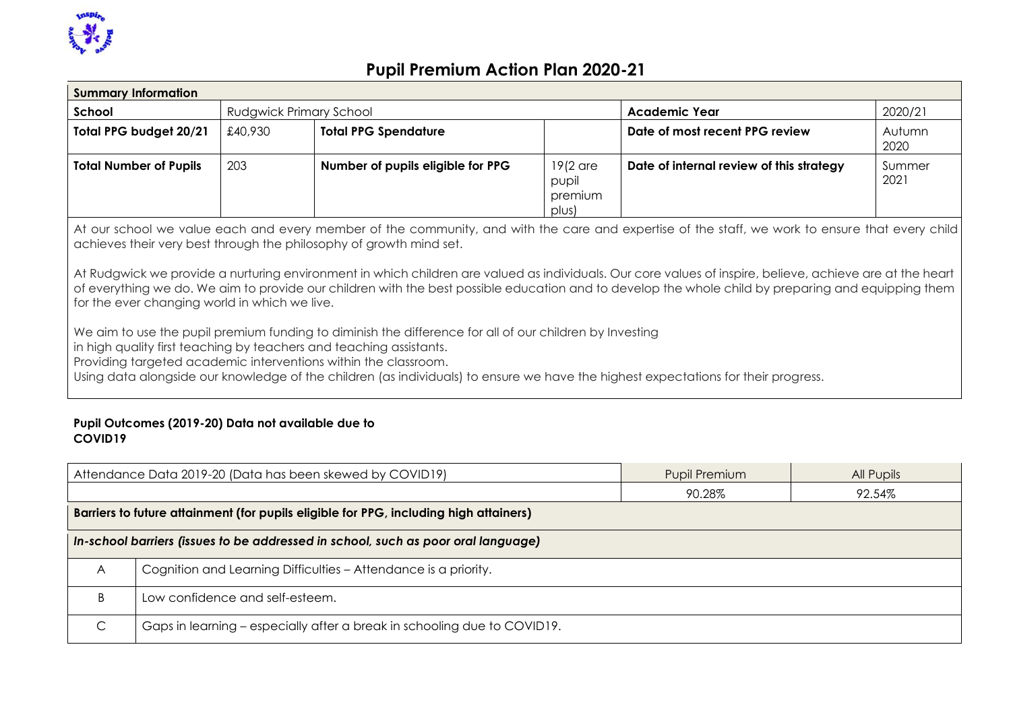

| <b>Summary Information</b>                                                                                                                                                                                                                                                                                                                                                                                                                                                                                                                                                                                                                                                                                                                                                                                                                                                                                                                                                             |                                                                                     |                             |  |                                          |                |  |
|----------------------------------------------------------------------------------------------------------------------------------------------------------------------------------------------------------------------------------------------------------------------------------------------------------------------------------------------------------------------------------------------------------------------------------------------------------------------------------------------------------------------------------------------------------------------------------------------------------------------------------------------------------------------------------------------------------------------------------------------------------------------------------------------------------------------------------------------------------------------------------------------------------------------------------------------------------------------------------------|-------------------------------------------------------------------------------------|-----------------------------|--|------------------------------------------|----------------|--|
| School                                                                                                                                                                                                                                                                                                                                                                                                                                                                                                                                                                                                                                                                                                                                                                                                                                                                                                                                                                                 |                                                                                     | Rudgwick Primary School     |  | <b>Academic Year</b>                     | 2020/21        |  |
| Total PPG budget 20/21                                                                                                                                                                                                                                                                                                                                                                                                                                                                                                                                                                                                                                                                                                                                                                                                                                                                                                                                                                 | £40,930                                                                             | <b>Total PPG Spendature</b> |  | Date of most recent PPG review           | Autumn<br>2020 |  |
| <b>Total Number of Pupils</b>                                                                                                                                                                                                                                                                                                                                                                                                                                                                                                                                                                                                                                                                                                                                                                                                                                                                                                                                                          | 203<br>$19(2$ are<br>Number of pupils eligible for PPG<br>pupil<br>premium<br>plus) |                             |  | Date of internal review of this strategy | Summer<br>2021 |  |
| At our school we value each and every member of the community, and with the care and expertise of the staff, we work to ensure that every child<br>achieves their very best through the philosophy of growth mind set.<br>At Rudgwick we provide a nurturing environment in which children are valued as individuals. Our core values of inspire, believe, achieve are at the heart<br>of everything we do. We aim to provide our children with the best possible education and to develop the whole child by preparing and equipping them<br>for the ever changing world in which we live.<br>We aim to use the pupil premium funding to diminish the difference for all of our children by Investing<br>in high quality first teaching by teachers and teaching assistants.<br>Providing targeted academic interventions within the classroom.<br>Using data alongside our knowledge of the children (as individuals) to ensure we have the highest expectations for their progress. |                                                                                     |                             |  |                                          |                |  |

#### **Pupil Outcomes (2019-20) Data not available due to COVID19**

| Attendance Data 2019-20 (Data has been skewed by COVID19)                             |                                                                                   | <b>Pupil Premium</b> | All Pupils |  |  |
|---------------------------------------------------------------------------------------|-----------------------------------------------------------------------------------|----------------------|------------|--|--|
|                                                                                       |                                                                                   | 90.28%               | 92.54%     |  |  |
| Barriers to future attainment (for pupils eligible for PPG, including high attainers) |                                                                                   |                      |            |  |  |
|                                                                                       | In-school barriers (issues to be addressed in school, such as poor oral language) |                      |            |  |  |
| A                                                                                     | Cognition and Learning Difficulties - Attendance is a priority.                   |                      |            |  |  |
|                                                                                       | Low confidence and self-esteem.                                                   |                      |            |  |  |
|                                                                                       | Gaps in learning - especially after a break in schooling due to COVID19.          |                      |            |  |  |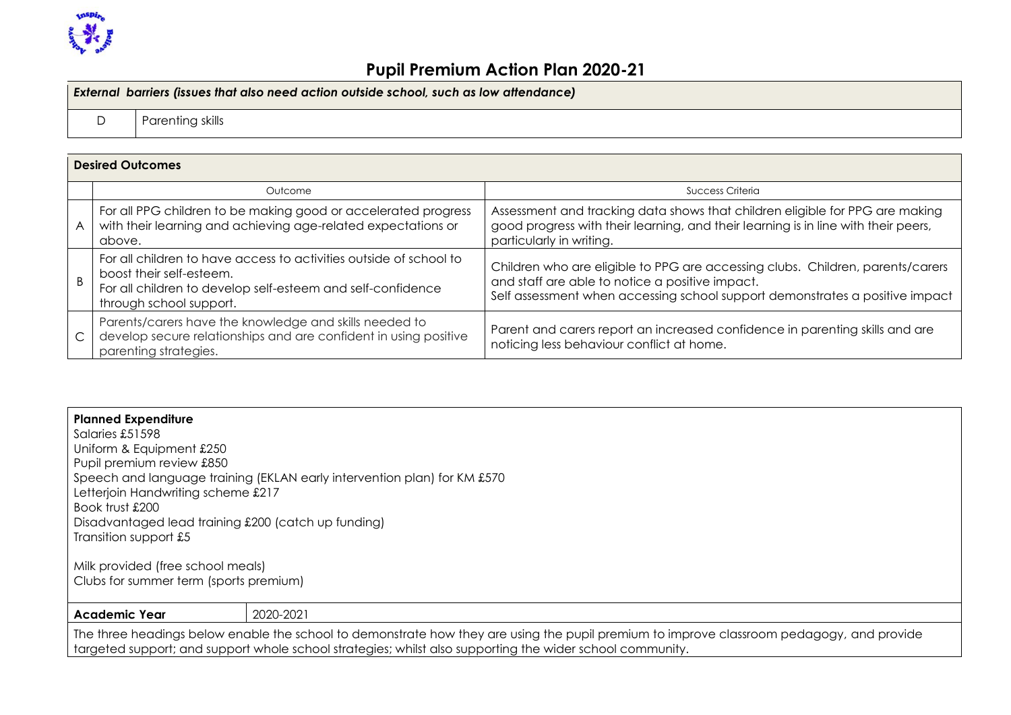

| External barriers (issues that also need action outside school, such as low attendance) |                  |  |  |
|-----------------------------------------------------------------------------------------|------------------|--|--|
|                                                                                         | Parenting skills |  |  |

|              | <b>Desired Outcomes</b>                                                                                                                                                                  |                                                                                                                                                                                                                   |
|--------------|------------------------------------------------------------------------------------------------------------------------------------------------------------------------------------------|-------------------------------------------------------------------------------------------------------------------------------------------------------------------------------------------------------------------|
|              | Outcome                                                                                                                                                                                  | Success Criteria                                                                                                                                                                                                  |
| A            | For all PPG children to be making good or accelerated progress<br>with their learning and achieving age-related expectations or<br>above.                                                | Assessment and tracking data shows that children eligible for PPG are making<br>good progress with their learning, and their learning is in line with their peers,<br>particularly in writing.                    |
| <sub>B</sub> | For all children to have access to activities outside of school to<br>boost their self-esteem.<br>For all children to develop self-esteem and self-confidence<br>through school support. | Children who are eligible to PPG are accessing clubs. Children, parents/carers<br>and staff are able to notice a positive impact.<br>Self assessment when accessing school support demonstrates a positive impact |
| C            | Parents/carers have the knowledge and skills needed to<br>develop secure relationships and are confident in using positive<br>parenting strategies.                                      | Parent and carers report an increased confidence in parenting skills and are<br>noticing less behaviour conflict at home.                                                                                         |

| <b>Planned Expenditure</b>                          |                                                                                                                                           |
|-----------------------------------------------------|-------------------------------------------------------------------------------------------------------------------------------------------|
| Salaries £51598                                     |                                                                                                                                           |
| Uniform & Equipment £250                            |                                                                                                                                           |
| Pupil premium review £850                           |                                                                                                                                           |
|                                                     | Speech and language training (EKLAN early intervention plan) for KM £570                                                                  |
| Letterjoin Handwriting scheme £217                  |                                                                                                                                           |
| Book trust £200                                     |                                                                                                                                           |
| Disadvantaged lead training £200 (catch up funding) |                                                                                                                                           |
| Transition support £5                               |                                                                                                                                           |
|                                                     |                                                                                                                                           |
| Milk provided (free school meals)                   |                                                                                                                                           |
| Clubs for summer term (sports premium)              |                                                                                                                                           |
|                                                     |                                                                                                                                           |
| <b>Academic Year</b>                                | 2020-2021                                                                                                                                 |
|                                                     | The three headings below enable the school to demonstrate how they are using the pupil premium to improve classroom pedagogy, and provide |
|                                                     | targeted support; and support whole school strategies; whilst also supporting the wider school community.                                 |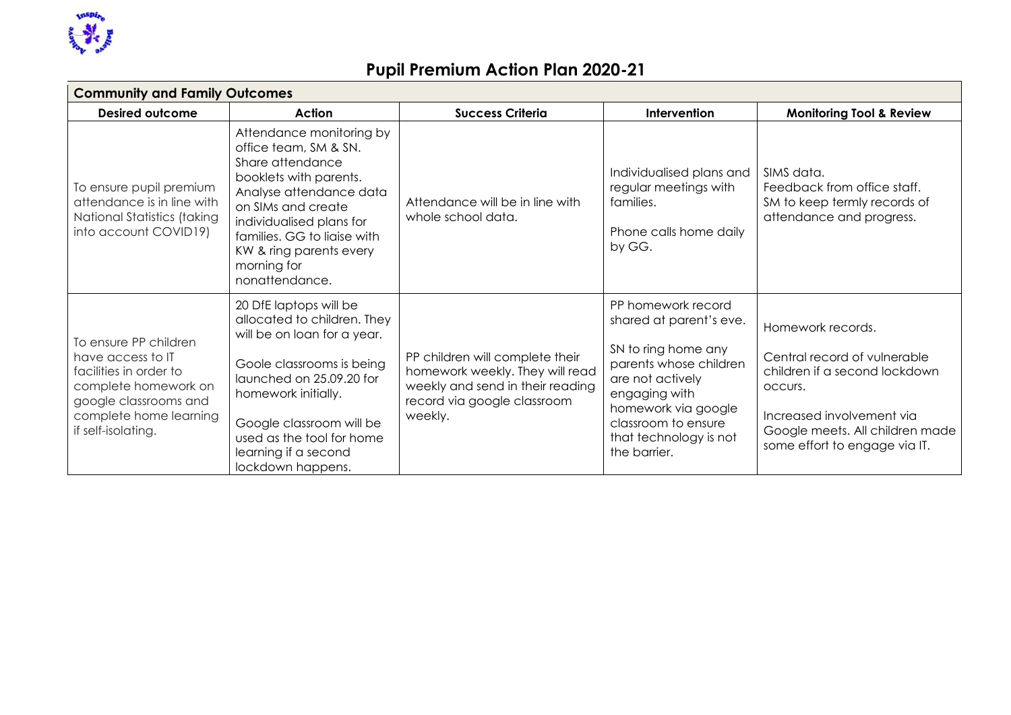

| <b>Community and Family Outcomes</b>                                                                                                                                  |                                                                                                                                                                                                                                                                            |                                                                                                                                                  |                                                                                                                                                                                                                             |                                                                                                                                                                                                |  |  |
|-----------------------------------------------------------------------------------------------------------------------------------------------------------------------|----------------------------------------------------------------------------------------------------------------------------------------------------------------------------------------------------------------------------------------------------------------------------|--------------------------------------------------------------------------------------------------------------------------------------------------|-----------------------------------------------------------------------------------------------------------------------------------------------------------------------------------------------------------------------------|------------------------------------------------------------------------------------------------------------------------------------------------------------------------------------------------|--|--|
| Desired outcome                                                                                                                                                       | Action                                                                                                                                                                                                                                                                     | <b>Success Criteria</b>                                                                                                                          | Intervention                                                                                                                                                                                                                | <b>Monitoring Tool &amp; Review</b>                                                                                                                                                            |  |  |
| To ensure pupil premium<br>attendance is in line with<br>National Statistics (taking<br>into account COVID19)                                                         | Attendance monitoring by<br>office team, SM & SN.<br>Share attendance<br>booklets with parents.<br>Analyse attendance data<br>on SIMs and create<br>individualised plans for<br>families. GG to liaise with<br>KW & ring parents every<br>morning for<br>nonattendance.    | Attendance will be in line with<br>whole school data.                                                                                            | Individualised plans and<br>regular meetings with<br>families.<br>Phone calls home daily<br>by GG.                                                                                                                          | SIMS data.<br>Feedback from office staff.<br>SM to keep termly records of<br>attendance and progress.                                                                                          |  |  |
| To ensure PP children<br>have access to IT<br>facilities in order to<br>complete homework on<br>google classrooms and<br>complete home learning<br>if self-isolating. | 20 DfE laptops will be<br>allocated to children. They<br>will be on loan for a year.<br>Goole classrooms is being<br>launched on 25.09.20 for<br>homework initially.<br>Google classroom will be<br>used as the tool for home<br>learning if a second<br>lockdown happens. | PP children will complete their<br>homework weekly. They will read<br>weekly and send in their reading<br>record via google classroom<br>weekly. | PP homework record<br>shared at parent's eve.<br>SN to ring home any<br>parents whose children<br>are not actively<br>engaging with<br>homework via google<br>classroom to ensure<br>that technology is not<br>the barrier. | Homework records.<br>Central record of vulnerable<br>children if a second lockdown<br>OCCUIS.<br>Increased involvement via<br>Google meets. All children made<br>some effort to engage via IT. |  |  |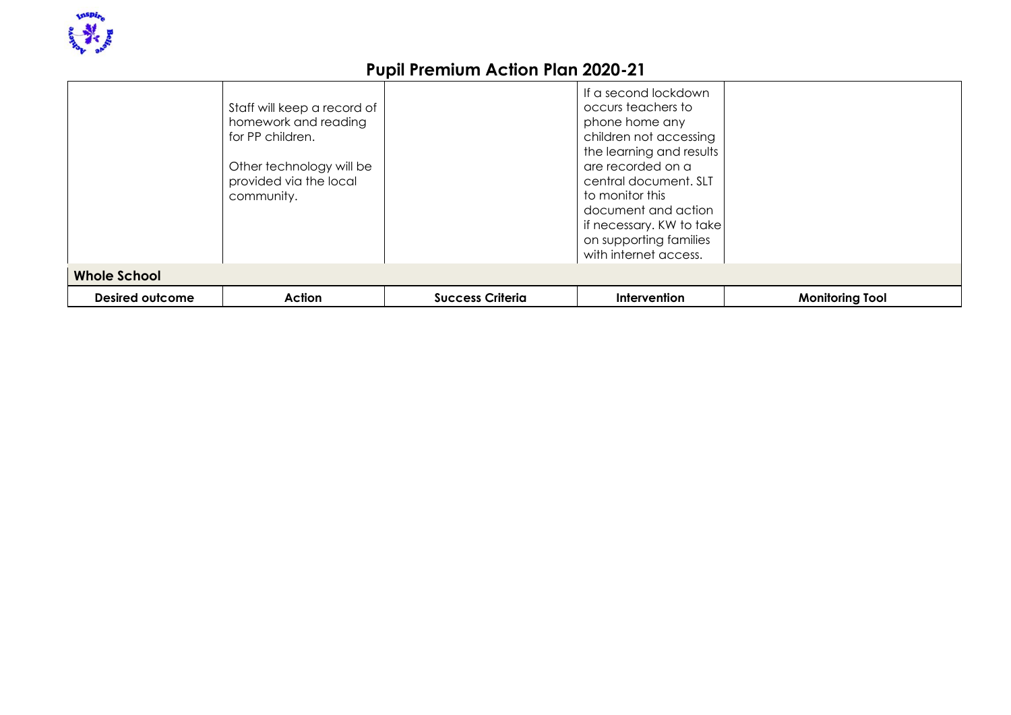

|                        | Staff will keep a record of<br>homework and reading<br>for PP children.<br>Other technology will be<br>provided via the local<br>community. |                         | If a second lockdown<br>occurs teachers to<br>phone home any<br>children not accessing<br>the learning and results<br>are recorded on a<br>central document. SLT<br>to monitor this<br>document and action<br>if necessary. KW to take<br>on supporting families<br>with internet access. |                        |
|------------------------|---------------------------------------------------------------------------------------------------------------------------------------------|-------------------------|-------------------------------------------------------------------------------------------------------------------------------------------------------------------------------------------------------------------------------------------------------------------------------------------|------------------------|
| <b>Whole School</b>    |                                                                                                                                             |                         |                                                                                                                                                                                                                                                                                           |                        |
| <b>Desired outcome</b> | Action                                                                                                                                      | <b>Success Criteria</b> | Intervention                                                                                                                                                                                                                                                                              | <b>Monitoring Tool</b> |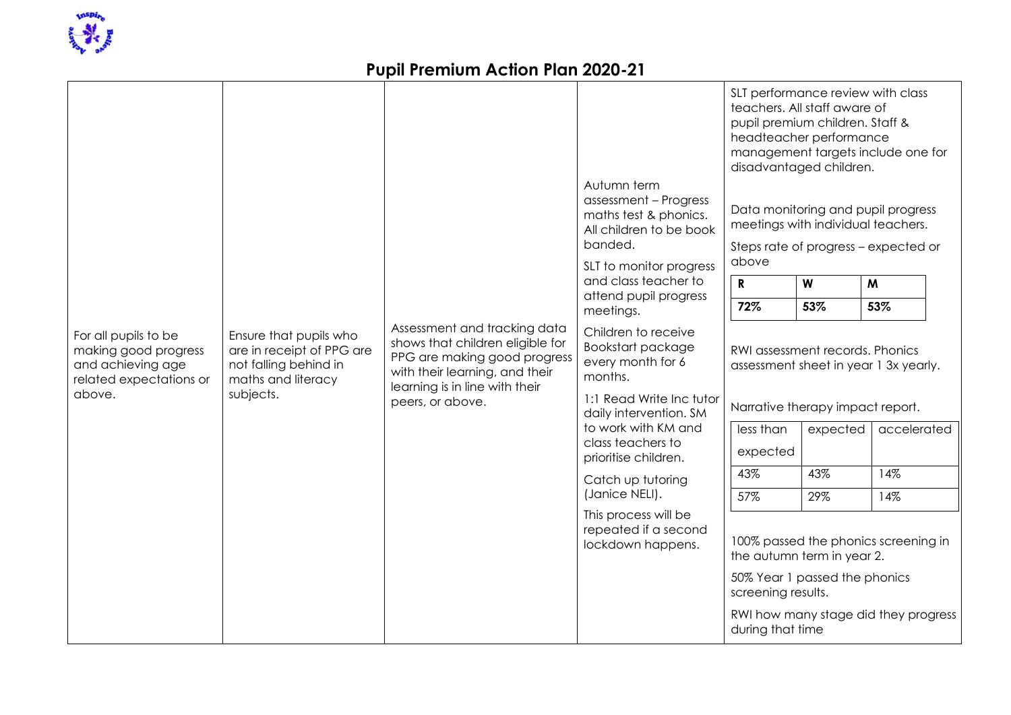

|                                                                                              |                                                                                                                 |                                                                                                                                                                      | Autumn term<br>assessment - Progress<br>maths test & phonics.<br>All children to be book<br>banded.<br>SLT to monitor progress              | SLT performance review with class<br>teachers. All staff aware of<br>pupil premium children. Staff &<br>headteacher performance<br>management targets include one for<br>disadvantaged children.<br>Data monitoring and pupil progress<br>meetings with individual teachers.<br>Steps rate of progress - expected or<br>above |          |                                      |
|----------------------------------------------------------------------------------------------|-----------------------------------------------------------------------------------------------------------------|----------------------------------------------------------------------------------------------------------------------------------------------------------------------|---------------------------------------------------------------------------------------------------------------------------------------------|-------------------------------------------------------------------------------------------------------------------------------------------------------------------------------------------------------------------------------------------------------------------------------------------------------------------------------|----------|--------------------------------------|
|                                                                                              |                                                                                                                 |                                                                                                                                                                      | and class teacher to                                                                                                                        | ${\bf R}$                                                                                                                                                                                                                                                                                                                     | W        | M                                    |
|                                                                                              |                                                                                                                 |                                                                                                                                                                      | attend pupil progress<br>meetings.                                                                                                          | 72%                                                                                                                                                                                                                                                                                                                           | 53%      | 53%                                  |
| For all pupils to be<br>making good progress<br>and achieving age<br>related expectations or | Ensure that pupils who<br>are in receipt of PPG are<br>not falling behind in<br>maths and literacy<br>subjects. | Assessment and tracking data<br>shows that children eligible for<br>PPG are making good progress<br>with their learning, and their<br>learning is in line with their | Children to receive<br>Bookstart package<br>every month for 6<br>months.                                                                    | RWI assessment records. Phonics<br>assessment sheet in year 1 3x yearly.                                                                                                                                                                                                                                                      |          |                                      |
| above.                                                                                       |                                                                                                                 | peers, or above.                                                                                                                                                     | 1:1 Read Write Inc tutor<br>daily intervention. SM<br>to work with KM and<br>class teachers to<br>prioritise children.<br>Catch up tutoring | Narrative therapy impact report.                                                                                                                                                                                                                                                                                              |          |                                      |
|                                                                                              |                                                                                                                 |                                                                                                                                                                      |                                                                                                                                             | less than                                                                                                                                                                                                                                                                                                                     | expected | accelerated                          |
|                                                                                              |                                                                                                                 |                                                                                                                                                                      |                                                                                                                                             | expected                                                                                                                                                                                                                                                                                                                      |          |                                      |
|                                                                                              |                                                                                                                 |                                                                                                                                                                      |                                                                                                                                             | 43%                                                                                                                                                                                                                                                                                                                           | 43%      | 14%                                  |
|                                                                                              |                                                                                                                 |                                                                                                                                                                      | (Janice NELI).                                                                                                                              | 57%                                                                                                                                                                                                                                                                                                                           | 29%      | 14%                                  |
|                                                                                              |                                                                                                                 |                                                                                                                                                                      | This process will be<br>repeated if a second<br>lockdown happens.                                                                           | the autumn term in year 2.                                                                                                                                                                                                                                                                                                    |          | 100% passed the phonics screening in |
|                                                                                              |                                                                                                                 |                                                                                                                                                                      |                                                                                                                                             | 50% Year 1 passed the phonics<br>screening results.                                                                                                                                                                                                                                                                           |          |                                      |
|                                                                                              |                                                                                                                 |                                                                                                                                                                      |                                                                                                                                             | during that time                                                                                                                                                                                                                                                                                                              |          | RWI how many stage did they progress |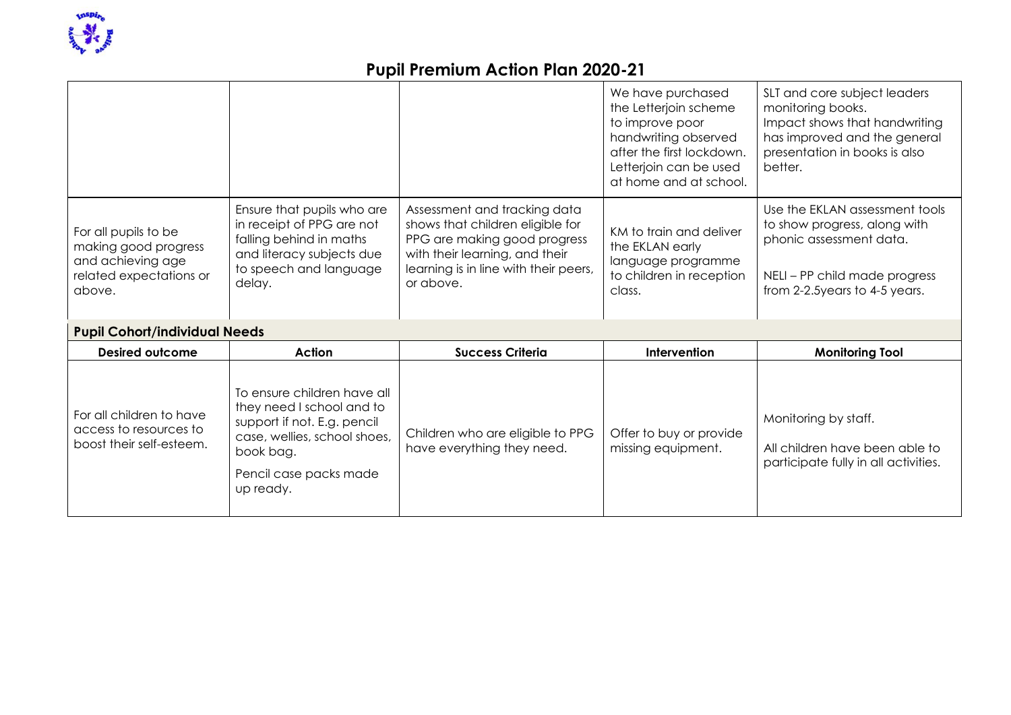

|                                                                                                        |                                                                                                                                                                             |                                                                                                                                                                                          | We have purchased<br>the Letterjoin scheme<br>to improve poor<br>handwriting observed<br>after the first lockdown.<br>Letterjoin can be used<br>at home and at school. | SLT and core subject leaders<br>monitoring books.<br>Impact shows that handwriting<br>has improved and the general<br>presentation in books is also<br>better. |
|--------------------------------------------------------------------------------------------------------|-----------------------------------------------------------------------------------------------------------------------------------------------------------------------------|------------------------------------------------------------------------------------------------------------------------------------------------------------------------------------------|------------------------------------------------------------------------------------------------------------------------------------------------------------------------|----------------------------------------------------------------------------------------------------------------------------------------------------------------|
| For all pupils to be<br>making good progress<br>and achieving age<br>related expectations or<br>above. | Ensure that pupils who are<br>in receipt of PPG are not<br>falling behind in maths<br>and literacy subjects due<br>to speech and language<br>delay.                         | Assessment and tracking data<br>shows that children eligible for<br>PPG are making good progress<br>with their learning, and their<br>learning is in line with their peers,<br>or above. | KM to train and deliver<br>the EKLAN early<br>language programme<br>to children in reception<br>class.                                                                 | Use the EKLAN assessment tools<br>to show progress, along with<br>phonic assessment data.<br>NELI – PP child made progress<br>from 2-2.5years to 4-5 years.    |
| <b>Pupil Cohort/individual Needs</b>                                                                   |                                                                                                                                                                             |                                                                                                                                                                                          |                                                                                                                                                                        |                                                                                                                                                                |
| <b>Desired outcome</b>                                                                                 | Action                                                                                                                                                                      | <b>Success Criteria</b>                                                                                                                                                                  | Intervention                                                                                                                                                           | <b>Monitoring Tool</b>                                                                                                                                         |
| For all children to have<br>access to resources to<br>boost their self-esteem.                         | To ensure children have all<br>they need I school and to<br>support if not. E.g. pencil<br>case, wellies, school shoes,<br>book bag.<br>Pencil case packs made<br>up ready. | Children who are eligible to PPG<br>have everything they need.                                                                                                                           | Offer to buy or provide<br>missing equipment.                                                                                                                          | Monitoring by staff.<br>All children have been able to<br>participate fully in all activities.                                                                 |